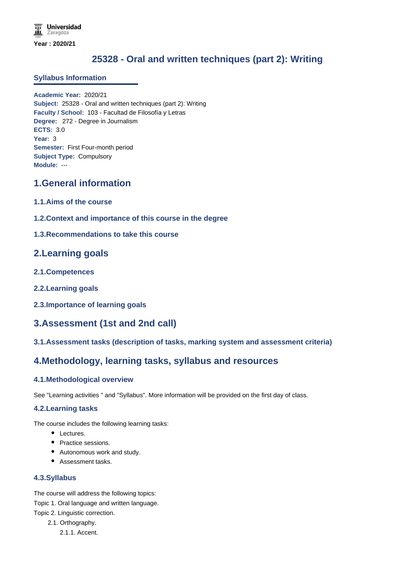# **25328 - Oral and written techniques (part 2): Writing**

#### **Syllabus Information**

**Academic Year:** 2020/21 **Subject:** 25328 - Oral and written techniques (part 2): Writing **Faculty / School:** 103 - Facultad de Filosofía y Letras **Degree:** 272 - Degree in Journalism **ECTS:** 3.0 **Year:** 3 **Semester:** First Four-month period **Subject Type:** Compulsory **Module:** ---

## **1.General information**

- **1.1.Aims of the course**
- **1.2.Context and importance of this course in the degree**
- **1.3.Recommendations to take this course**

## **2.Learning goals**

- **2.1.Competences**
- **2.2.Learning goals**
- **2.3.Importance of learning goals**

## **3.Assessment (1st and 2nd call)**

**3.1.Assessment tasks (description of tasks, marking system and assessment criteria)**

## **4.Methodology, learning tasks, syllabus and resources**

#### **4.1.Methodological overview**

See "Learning activities " and "Syllabus". More information will be provided on the first day of class.

#### **4.2.Learning tasks**

The course includes the following learning tasks:

- Lectures.
- Practice sessions.
- Autonomous work and study.
- Assessment tasks.

### **4.3.Syllabus**

The course will address the following topics:

Topic 1. Oral language and written language. Topic 2. Linguistic correction.

- 2.1. Orthography.
	- 2.1.1. Accent.